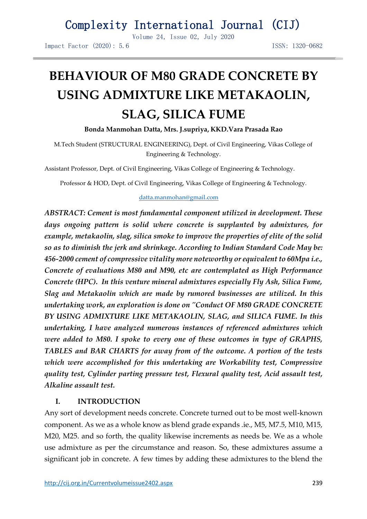Volume 24, Issue 02, July 2020

Impact Factor (2020): 5.6 ISSN: 1320-0682

# **BEHAVIOUR OF M80 GRADE CONCRETE BY USING ADMIXTURE LIKE METAKAOLIN, SLAG, SILICA FUME**

**Bonda Manmohan Datta, Mrs. J.supriya, KKD.Vara Prasada Rao**

M.Tech Student (STRUCTURAL ENGINEERING), Dept. of Civil Engineering, Vikas College of Engineering & Technology.

Assistant Professor, Dept. of Civil Engineering, Vikas College of Engineering & Technology.

Professor & HOD, Dept. of Civil Engineering, Vikas College of Engineering & Technology.

#### [datta.manmohan@gmail.com](mailto:datta.manmohan@gmail.com)

*ABSTRACT: Cement is most fundamental component utilized in development. These days ongoing pattern is solid where concrete is supplanted by admixtures, for example, metakaolin, slag, silica smoke to improve the properties of elite of the solid so as to diminish the jerk and shrinkage. According to Indian Standard Code May be: 456-2000 cement of compressive vitality more noteworthy or equivalent to 60Mpa i.e., Concrete of evaluations M80 and M90, etc are contemplated as High Performance Concrete (HPC). In this venture mineral admixtures especially Fly Ash, Silica Fume, Slag and Metakaolin which are made by rumored businesses are utilized. In this undertaking work, an exploration is done on "Conduct OF M80 GRADE CONCRETE BY USING ADMIXTURE LIKE METAKAOLIN, SLAG, and SILICA FUME. In this undertaking, I have analyzed numerous instances of referenced admixtures which were added to M80. I spoke to every one of these outcomes in type of GRAPHS, TABLES and BAR CHARTS for away from of the outcome. A portion of the tests which were accomplished for this undertaking are Workability test, Compressive quality test, Cylinder parting pressure test, Flexural quality test, Acid assault test, Alkaline assault test.*

### **I. INTRODUCTION**

Any sort of development needs concrete. Concrete turned out to be most well-known component. As we as a whole know as blend grade expands .ie., M5, M7.5, M10, M15, M20, M25. and so forth, the quality likewise increments as needs be. We as a whole use admixture as per the circumstance and reason. So, these admixtures assume a significant job in concrete. A few times by adding these admixtures to the blend the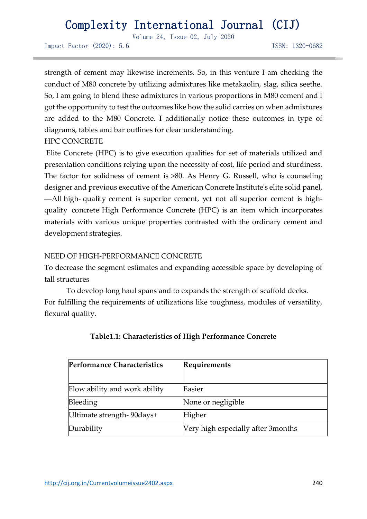Volume 24, Issue 02, July 2020

Impact Factor (2020): 5.6 ISSN: 1320-0682

strength of cement may likewise increments. So, in this venture I am checking the conduct of M80 concrete by utilizing admixtures like metakaolin, slag, silica seethe. So, I am going to blend these admixtures in various proportions in M80 cement and I got the opportunity to test the outcomes like how the solid carries on when admixtures are added to the M80 Concrete. I additionally notice these outcomes in type of diagrams, tables and bar outlines for clear understanding.

### HPC CONCRETE

Elite Concrete (HPC) is to give execution qualities for set of materials utilized and presentation conditions relying upon the necessity of cost, life period and sturdiness. The factor for solidness of cement is >80. As Henry G. Russell, who is counseling designer and previous executive of the American Concrete Institute's elite solid panel, ―All high- quality cement is superior cement, yet not all superior cement is highquality concrete High Performance Concrete (HPC) is an item which incorporates materials with various unique properties contrasted with the ordinary cement and development strategies.

### NEED OF HIGH-PERFORMANCE CONCRETE

To decrease the segment estimates and expanding accessible space by developing of tall structures

To develop long haul spans and to expands the strength of scaffold decks. For fulfilling the requirements of utilizations like toughness, modules of versatility, flexural quality.

| <b>Performance Characteristics</b> | Requirements                        |
|------------------------------------|-------------------------------------|
| Flow ability and work ability      | Easier                              |
| Bleeding                           | None or negligible                  |
| Ultimate strength-90days+          | Higher                              |
| Durability                         | Very high especially after 3 months |

### **Table1.1: Characteristics of High Performance Concrete**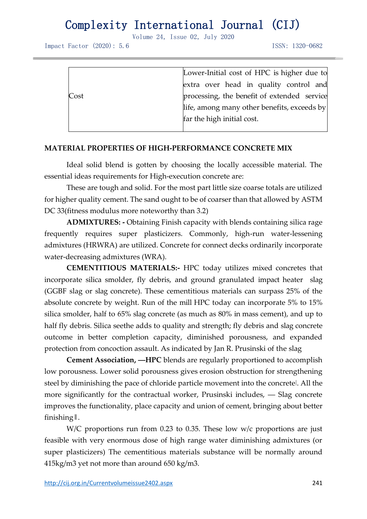Volume 24, Issue 02, July 2020

Impact Factor (2020): 5.6 ISSN: 1320-0682

|                            | Lower-Initial cost of HPC is higher due to  |  |  |
|----------------------------|---------------------------------------------|--|--|
|                            | extra over head in quality control and      |  |  |
| Cost                       | processing, the benefit of extended service |  |  |
|                            | life, among many other benefits, exceeds by |  |  |
| far the high initial cost. |                                             |  |  |
|                            |                                             |  |  |

#### **MATERIAL PROPERTIES OF HIGH-PERFORMANCE CONCRETE MIX**

Ideal solid blend is gotten by choosing the locally accessible material. The essential ideas requirements for High-execution concrete are:

These are tough and solid. For the most part little size coarse totals are utilized for higher quality cement. The sand ought to be of coarser than that allowed by ASTM DC 33(fitness modulus more noteworthy than 3.2)

**ADMIXTURES: -** Obtaining Finish capacity with blends containing silica rage frequently requires super plasticizers. Commonly, high-run water-lessening admixtures (HRWRA) are utilized. Concrete for connect decks ordinarily incorporate water-decreasing admixtures (WRA).

**CEMENTITIOUS MATERIALS:-** HPC today utilizes mixed concretes that incorporate silica smolder, fly debris, and ground granulated impact heater slag (GGBF slag or slag concrete). These cementitious materials can surpass 25% of the absolute concrete by weight. Run of the mill HPC today can incorporate 5% to 15% silica smolder, half to 65% slag concrete (as much as 80% in mass cement), and up to half fly debris. Silica seethe adds to quality and strength; fly debris and slag concrete outcome in better completion capacity, diminished porousness, and expanded protection from concoction assault. As indicated by Jan R. Prusinski of the slag

**Cement Association, ―HPC** blends are regularly proportioned to accomplish low porousness. Lower solid porousness gives erosion obstruction for strengthening steel by diminishing the pace of chloride particle movement into the concretel. All the more significantly for the contractual worker, Prusinski includes, ― Slag concrete improves the functionality, place capacity and union of cement, bringing about better finishing‖.

W/C proportions run from 0.23 to 0.35. These low w/c proportions are just feasible with very enormous dose of high range water diminishing admixtures (or super plasticizers) The cementitious materials substance will be normally around 415kg/m3 yet not more than around 650 kg/m3.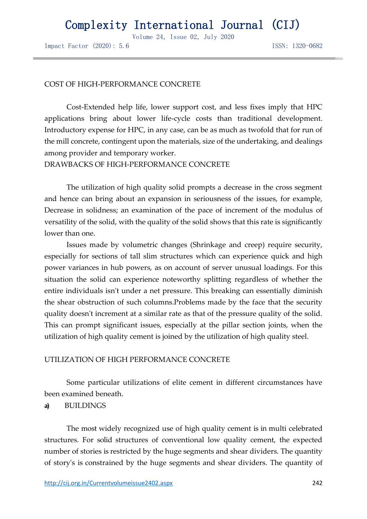Volume 24, Issue 02, July 2020

Impact Factor (2020): 5.6 ISSN: 1320-0682

#### COST OF HIGH-PERFORMANCE CONCRETE

Cost-Extended help life, lower support cost, and less fixes imply that HPC applications bring about lower life-cycle costs than traditional development. Introductory expense for HPC, in any case, can be as much as twofold that for run of the mill concrete, contingent upon the materials, size of the undertaking, and dealings among provider and temporary worker.

DRAWBACKS OF HIGH-PERFORMANCE CONCRETE

The utilization of high quality solid prompts a decrease in the cross segment and hence can bring about an expansion in seriousness of the issues, for example, Decrease in solidness; an examination of the pace of increment of the modulus of versatility of the solid, with the quality of the solid shows that this rate is significantly lower than one.

Issues made by volumetric changes (Shrinkage and creep) require security, especially for sections of tall slim structures which can experience quick and high power variances in hub powers, as on account of server unusual loadings. For this situation the solid can experience noteworthy splitting regardless of whether the entire individuals isn't under a net pressure. This breaking can essentially diminish the shear obstruction of such columns.Problems made by the face that the security quality doesn't increment at a similar rate as that of the pressure quality of the solid. This can prompt significant issues, especially at the pillar section joints, when the utilization of high quality cement is joined by the utilization of high quality steel.

#### UTILIZATION OF HIGH PERFORMANCE CONCRETE

Some particular utilizations of elite cement in different circumstances have been examined beneath.

**a)** BUILDINGS

The most widely recognized use of high quality cement is in multi celebrated structures. For solid structures of conventional low quality cement, the expected number of stories is restricted by the huge segments and shear dividers. The quantity of story's is constrained by the huge segments and shear dividers. The quantity of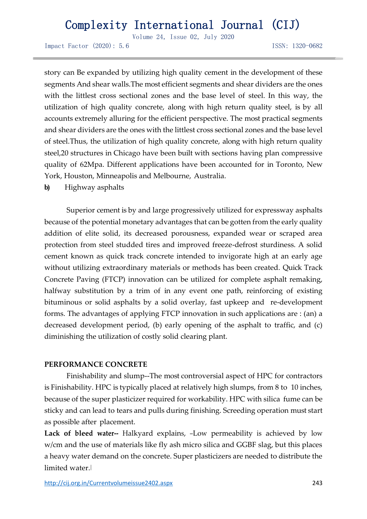Volume 24, Issue 02, July 2020

Impact Factor (2020): 5.6 ISSN: 1320-0682

story can Be expanded by utilizing high quality cement in the development of these segments And shear walls.The most efficient segments and shear dividers are the ones with the littlest cross sectional zones and the base level of steel. In this way, the utilization of high quality concrete, along with high return quality steel, is by all accounts extremely alluring for the efficient perspective. The most practical segments and shear dividers are the ones with the littlest cross sectional zones and the base level of steel.Thus, the utilization of high quality concrete, along with high return quality steel,20 structures in Chicago have been built with sections having plan compressive quality of 62Mpa. Different applications have been accounted for in Toronto, New York, Houston, Minneapolis and Melbourne, Australia.

**b)** Highway asphalts

Superior cement is by and large progressively utilized for expressway asphalts because of the potential monetary advantages that can be gotten from the early quality addition of elite solid, its decreased porousness, expanded wear or scraped area protection from steel studded tires and improved freeze-defrost sturdiness. A solid cement known as quick track concrete intended to invigorate high at an early age without utilizing extraordinary materials or methods has been created. Quick Track Concrete Paving (FTCP) innovation can be utilized for complete asphalt remaking, halfway substitution by a trim of in any event one path, reinforcing of existing bituminous or solid asphalts by a solid overlay, fast upkeep and re-development forms. The advantages of applying FTCP innovation in such applications are : (an) a decreased development period, (b) early opening of the asphalt to traffic, and (c) diminishing the utilization of costly solid clearing plant.

#### **PERFORMANCE CONCRETE**

Finishability and slump--The most controversial aspect of HPC for contractors is Finishability. HPC is typically placed at relatively high slumps, from 8 to 10 inches, because of the super plasticizer required for workability. HPC with silica fume can be sticky and can lead to tears and pulls during finishing. Screeding operation must start as possible after placement.

Lack of bleed water-- Halkyard explains, -Low permeability is achieved by low w/cm and the use of materials like fly ash micro silica and GGBF slag, but this places a heavy water demand on the concrete. Super plasticizers are needed to distribute the limited water.‖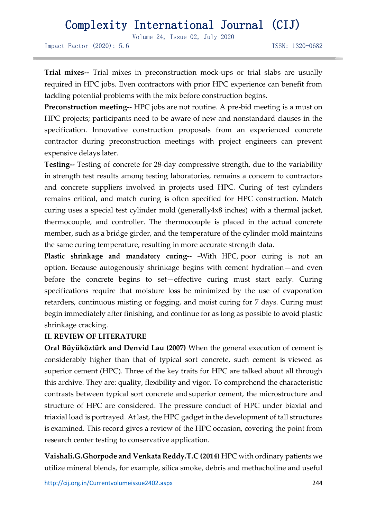Volume 24, Issue 02, July 2020

Impact Factor (2020): 5.6 ISSN: 1320-0682

**Trial mixes--** Trial mixes in preconstruction mock-ups or trial slabs are usually required in HPC jobs. Even contractors with prior HPC experience can benefit from tackling potential problems with the mix before construction begins.

**Preconstruction meeting--** HPC jobs are not routine. A pre-bid meeting is a must on HPC projects; participants need to be aware of new and nonstandard clauses in the specification. Innovative construction proposals from an experienced concrete contractor during preconstruction meetings with project engineers can prevent expensive delays later.

**Testing--** Testing of concrete for 28-day compressive strength, due to the variability in strength test results among testing laboratories, remains a concern to contractors and concrete suppliers involved in projects used HPC. Curing of test cylinders remains critical, and match curing is often specified for HPC construction. Match curing uses a special test cylinder mold (generally4x8 inches) with a thermal jacket, thermocouple, and controller. The thermocouple is placed in the actual concrete member, such as a bridge girder, and the temperature of the cylinder mold maintains the same curing temperature, resulting in more accurate strength data.

**Plastic shrinkage and mandatory curing--** -With HPC, poor curing is not an option. Because autogenously shrinkage begins with cement hydration—and even before the concrete begins to set—effective curing must start early. Curing specifications require that moisture loss be minimized by the use of evaporation retarders, continuous misting or fogging, and moist curing for 7 days. Curing must begin immediately after finishing, and continue for as long as possible to avoid plastic shrinkage cracking.

#### **II. REVIEW OF LITERATURE**

**Oral Büyüköztürk and Denvid Lau (2007)** When the general execution of cement is considerably higher than that of typical sort concrete, such cement is viewed as superior cement (HPC). Three of the key traits for HPC are talked about all through this archive. They are: quality, flexibility and vigor. To comprehend the characteristic contrasts between typical sort concrete andsuperior cement, the microstructure and structure of HPC are considered. The pressure conduct of HPC under biaxial and triaxial load is portrayed. At last, the HPC gadget in the development of tall structures is examined. This record gives a review of the HPC occasion, covering the point from research center testing to conservative application.

**Vaishali.G.Ghorpode and Venkata Reddy.T.C (2014)** HPC with ordinary patients we utilize mineral blends, for example, silica smoke, debris and methacholine and useful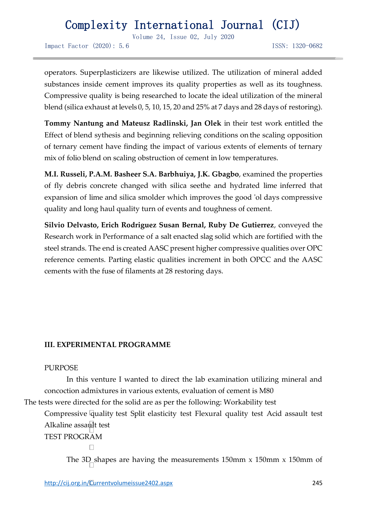Volume 24, Issue 02, July 2020

Impact Factor (2020): 5.6 ISSN: 1320-0682

operators. Superplasticizers are likewise utilized. The utilization of mineral added substances inside cement improves its quality properties as well as its toughness. Compressive quality is being researched to locate the ideal utilization of the mineral blend (silica exhaust at levels 0, 5, 10, 15, 20 and 25% at 7 days and 28 days of restoring).

**Tommy Nantung and Mateusz Radlinski, Jan Olek** in their test work entitled the Effect of blend sythesis and beginning relieving conditions on the scaling opposition of ternary cement have finding the impact of various extents of elements of ternary mix of folio blend on scaling obstruction of cement in low temperatures.

**M.I. Russeli, P.A.M. Basheer S.A. Barbhuiya, J.K. Gbagbo**, examined the properties of fly debris concrete changed with silica seethe and hydrated lime inferred that expansion of lime and silica smolder which improves the good 'ol days compressive quality and long haul quality turn of events and toughness of cement.

**Silvio Delvasto, Erich Rodriguez Susan Bernal, Ruby De Gutierrez**, conveyed the Research work in Performance of a salt enacted slag solid which are fortified with the steel strands. The end is created AASC present higher compressive qualities over OPC reference cements. Parting elastic qualities increment in both OPCC and the AASC cements with the fuse of filaments at 28 restoring days.

### **III. EXPERIMENTAL PROGRAMME**

#### PURPOSE

In this venture I wanted to direct the lab examination utilizing mineral and concoction admixtures in various extents, evaluation of cement is M80

The tests were directed for the solid are as per the following: Workability test

Compressive quality test Split elasticity test Flexural quality test Acid assault test Alkaline assault test

TEST PROGRAM

 $\Box$ 

The  $3D$  shapes are having the measurements  $150 \text{mm}$  x  $150 \text{mm}$  x  $150 \text{mm}$  of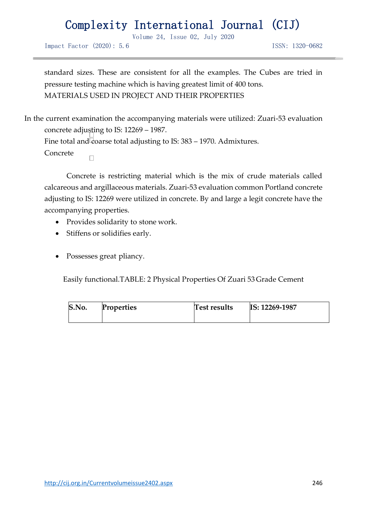Volume 24, Issue 02, July 2020

Impact Factor (2020): 5.6 ISSN: 1320-0682

standard sizes. These are consistent for all the examples. The Cubes are tried in pressure testing machine which is having greatest limit of 400 tons. MATERIALS USED IN PROJECT AND THEIR PROPERTIES

In the current examination the accompanying materials were utilized: Zuari-53 evaluation concrete adjusting to IS: 12269 – 1987. Fine total and  $\sqrt{2}$  coarse total adjusting to IS: 383 – 1970. Admixtures. Concrete  $\Box$ 

Concrete is restricting material which is the mix of crude materials called calcareous and argillaceous materials. Zuari-53 evaluation common Portland concrete adjusting to IS: 12269 were utilized in concrete. By and large a legit concrete have the accompanying properties.

- Provides solidarity to stone work.
- Stiffens or solidifies early.
- Possesses great pliancy.

Easily functional.TABLE: 2 Physical Properties Of Zuari 53Grade Cement

| S.No. | <b>Properties</b> | Test results | IS: 12269-1987 |
|-------|-------------------|--------------|----------------|
|       |                   |              |                |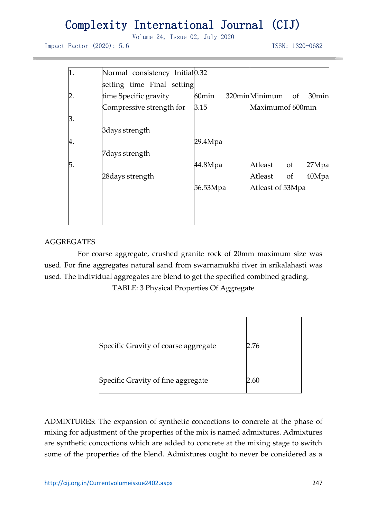Volume 24, Issue 02, July 2020

Impact Factor (2020): 5.6 ISSN: 1320-0682

| 1. | Normal consistency Initial 0.32 |                   |                  |    |                   |
|----|---------------------------------|-------------------|------------------|----|-------------------|
|    | setting time Final setting      |                   |                  |    |                   |
|    | time Specific gravity           | 60 <sub>min</sub> | 320minMinimum of |    | 30 <sub>min</sub> |
|    | Compressive strength for        | 3.15              | Maximumof 600min |    |                   |
| 3. |                                 |                   |                  |    |                   |
|    | 3 days strength                 |                   |                  |    |                   |
| 4. |                                 | 29.4Mpa           |                  |    |                   |
|    | 7 days strength                 |                   |                  |    |                   |
| 5. |                                 | 44.8Mpa           | Atleast of       |    | 27Mpa             |
|    | 28 days strength                |                   | Atleast          | of | 40Mpa             |
|    |                                 | 56.53Mpa          | Atleast of 53Mpa |    |                   |
|    |                                 |                   |                  |    |                   |
|    |                                 |                   |                  |    |                   |
|    |                                 |                   |                  |    |                   |

### AGGREGATES

For coarse aggregate, crushed granite rock of 20mm maximum size was used. For fine aggregates natural sand from swarnamukhi river in srikalahasti was used. The individual aggregates are blend to get the specified combined grading.

TABLE: 3 Physical Properties Of Aggregate

| Specific Gravity of coarse aggregate | 2.76 |
|--------------------------------------|------|
|                                      |      |
| Specific Gravity of fine aggregate   | 2.60 |

ADMIXTURES: The expansion of synthetic concoctions to concrete at the phase of mixing for adjustment of the properties of the mix is named admixtures. Admixtures are synthetic concoctions which are added to concrete at the mixing stage to switch some of the properties of the blend. Admixtures ought to never be considered as a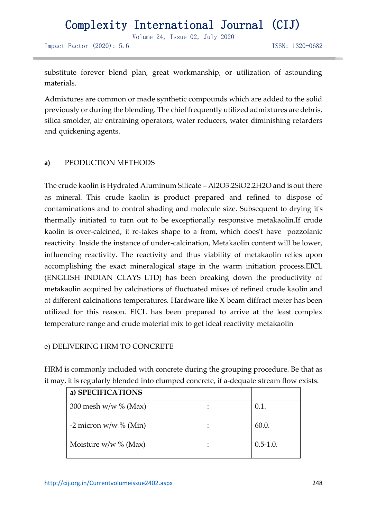Volume 24, Issue 02, July 2020

Impact Factor (2020): 5.6 ISSN: 1320-0682

substitute forever blend plan, great workmanship, or utilization of astounding materials.

Admixtures are common or made synthetic compounds which are added to the solid previously or during the blending. The chief frequently utilized admixtures are debris, silica smolder, air entraining operators, water reducers, water diminishing retarders and quickening agents.

### **a)** PEODUCTION METHODS

The crude kaolin is Hydrated Aluminum Silicate – Al2O3.2SiO2.2H2O and is out there as mineral. This crude kaolin is product prepared and refined to dispose of contaminations and to control shading and molecule size. Subsequent to drying it's thermally initiated to turn out to be exceptionally responsive metakaolin.If crude kaolin is over-calcined, it re-takes shape to a from, which does't have pozzolanic reactivity. Inside the instance of under-calcination, Metakaolin content will be lower, influencing reactivity. The reactivity and thus viability of metakaolin relies upon accomplishing the exact mineralogical stage in the warm initiation process.EICL (ENGLISH INDIAN CLAYS LTD) has been breaking down the productivity of metakaolin acquired by calcinations of fluctuated mixes of refined crude kaolin and at different calcinations temperatures. Hardware like X-beam diffract meter has been utilized for this reason. EICL has been prepared to arrive at the least complex temperature range and crude material mix to get ideal reactivity metakaolin

### e) DELIVERING HRM TO CONCRETE

HRM is commonly included with concrete during the grouping procedure. Be that as it may, it is regularly blended into clumped concrete, if a-dequate stream flow exists.

| a) SPECIFICATIONS        |              |
|--------------------------|--------------|
| 300 mesh w/w $\%$ (Max)  | 0.1.         |
| -2 micron w/w $\%$ (Min) | 60.0.        |
| Moisture $w/w$ % (Max)   | $0.5 - 1.0.$ |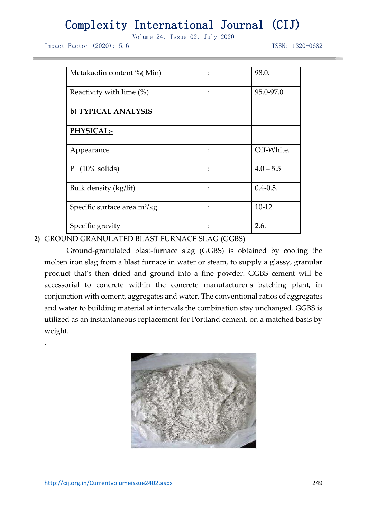Volume 24, Issue 02, July 2020

Impact Factor (2020): 5.6 ISSN: 1320-0682

| Metakaolin content % (Min)               | 98.0.         |
|------------------------------------------|---------------|
| Reactivity with lime (%)                 | 95.0-97.0     |
| b) TYPICAL ANALYSIS                      |               |
| PHYSICAL:-                               |               |
| Appearance                               | Off-White.    |
| $PH$ (10% solids)                        | $4.0 - 5.5$   |
| Bulk density (kg/lit)                    | $0.4 - 0.5$ . |
| Specific surface area m <sup>2</sup> /kg | $10-12.$      |
| Specific gravity                         | 2.6.          |

### **2)** GROUND GRANULATED BLAST FURNACE SLAG (GGBS)

Ground-granulated blast-furnace slag (GGBS) is obtained by cooling the molten iron slag from a blast furnace in water or steam, to supply a glassy, granular product that's then dried and ground into a fine powder. GGBS cement will be accessorial to concrete within the concrete manufacturer's batching plant, in conjunction with cement, aggregates and water. The conventional ratios of aggregates and water to building material at intervals the combination stay unchanged. GGBS is utilized as an instantaneous replacement for Portland cement, on a matched basis by weight.



.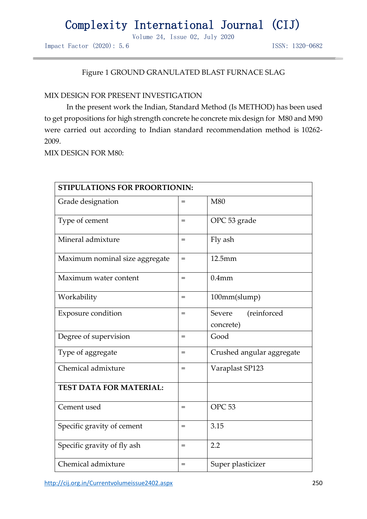Volume 24, Issue 02, July 2020

Impact Factor (2020): 5.6 ISSN: 1320-0682

### Figure 1 GROUND GRANULATED BLAST FURNACE SLAG

#### MIX DESIGN FOR PRESENT INVESTIGATION

In the present work the Indian, Standard Method (Is METHOD) has been used to get propositions for high strength concrete he concrete mix design for M80 and M90 were carried out according to Indian standard recommendation method is 10262- 2009.

MIX DESIGN FOR M80:

| <b>STIPULATIONS FOR PROORTIONIN:</b> |     |                                    |  |  |
|--------------------------------------|-----|------------------------------------|--|--|
| Grade designation                    | $=$ | M80                                |  |  |
| Type of cement                       | $=$ | OPC 53 grade                       |  |  |
| Mineral admixture                    | $=$ | Fly ash                            |  |  |
| Maximum nominal size aggregate       | $=$ | 12.5mm                             |  |  |
| Maximum water content                | $=$ | $0.4$ mm                           |  |  |
| Workability                          | $=$ | 100mm(slump)                       |  |  |
| <b>Exposure condition</b>            | $=$ | Severe<br>(reinforced<br>concrete) |  |  |
| Degree of supervision                | $=$ | Good                               |  |  |
| Type of aggregate                    | $=$ | Crushed angular aggregate          |  |  |
| Chemical admixture                   | $=$ | Varaplast SP123                    |  |  |
| <b>TEST DATA FOR MATERIAL:</b>       |     |                                    |  |  |
| Cement used                          | $=$ | OPC <sub>53</sub>                  |  |  |
| Specific gravity of cement           | $=$ | 3.15                               |  |  |
| Specific gravity of fly ash          | $=$ | 2.2                                |  |  |
| Chemical admixture                   | $=$ | Super plasticizer                  |  |  |

<http://cij.org.in/Currentvolumeissue2402.aspx> 250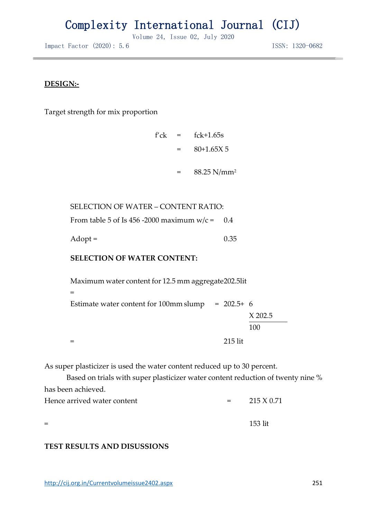Volume 24, Issue 02, July 2020

Impact Factor (2020): 5.6 ISSN: 1320-0682

### **DESIGN:-**

Target strength for mix proportion

 $f'$ ck =  $f$ ck+1.65s = 80+1.65X 5

88.25 N/mm<sup>2</sup>

=

SELECTION OF WATER – CONTENT RATIO:

From table 5 of Is 456 -2000 maximum  $w/c = 0.4$ 

 $Adopt =$  0.35

### **SELECTION OF WATER CONTENT:**

Maximum water content for 12.5 mm aggregate 202.5lit = Estimate water content for  $100 \text{mm}$  slump =  $202.5+ 6$ X 202.5 100 = 215 lit

As super plasticizer is used the water content reduced up to 30 percent.

Based on trials with super plasticizer water content reduction of twenty nine % has been achieved.

| Hence arrived water content | $=$ | 215 X 0.71 |
|-----------------------------|-----|------------|
|                             |     |            |
| $=$                         |     | 153 lit    |

### **TEST RESULTS AND DISUSSIONS**

<http://cij.org.in/Currentvolumeissue2402.aspx> 251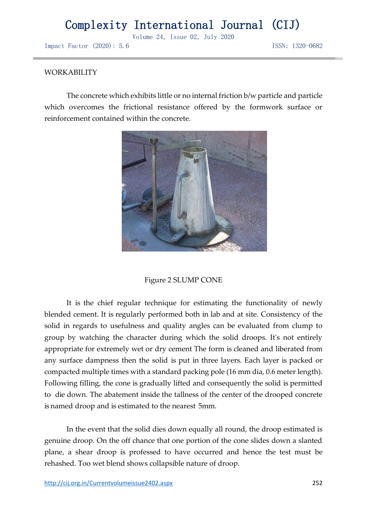Volume 24, Issue 02, July 2020

Impact Factor (2020): 5.6 ISSN: 1320-0682

#### WORKABILITY

The concrete which exhibits little or no internal friction b/w particle and particle which overcomes the frictional resistance offered by the formwork surface or reinforcement contained within the concrete.



#### Figure 2 SLUMP CONE

It is the chief regular technique for estimating the functionality of newly blended cement. It is regularly performed both in lab and at site. Consistency of the solid in regards to usefulness and quality angles can be evaluated from clump to group by watching the character during which the solid droops. It's not entirely appropriate for extremely wet or dry cement The form is cleaned and liberated from any surface dampness then the solid is put in three layers. Each layer is packed or compacted multiple times with a standard packing pole (16 mm dia, 0.6 meter length). Following filling, the cone is gradually lifted and consequently the solid is permitted to die down. The abatement inside the tallness of the center of the drooped concrete is named droop and is estimated to the nearest 5mm.

In the event that the solid dies down equally all round, the droop estimated is genuine droop. On the off chance that one portion of the cone slides down a slanted plane, a shear droop is professed to have occurred and hence the test must be rehashed. Too wet blend shows collapsible nature of droop.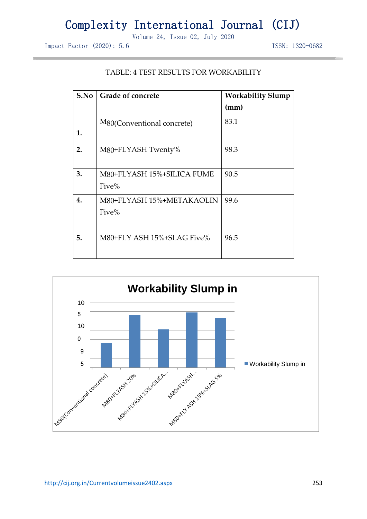Volume 24, Issue 02, July 2020

Impact Factor (2020): 5.6 ISSN: 1320-0682

| S.No | <b>Grade of concrete</b>                | <b>Workability Slump</b> |  |
|------|-----------------------------------------|--------------------------|--|
|      |                                         | (mm)                     |  |
|      | M <sub>80</sub> (Conventional concrete) | 83.1                     |  |
| 1.   |                                         |                          |  |
| 2.   | M80+FLYASH Twenty%                      | 98.3                     |  |
|      |                                         |                          |  |
| 3.   | M80+FLYASH 15%+SILICA FUME              | 90.5                     |  |
|      | Five%                                   |                          |  |
| 4.   | M80+FLYASH 15%+METAKAOLIN               | 99.6                     |  |
|      | Five%                                   |                          |  |
|      |                                         |                          |  |
| 5.   | M80+FLY ASH 15%+SLAG Five%              | 96.5                     |  |
|      |                                         |                          |  |

### TABLE: 4 TEST RESULTS FOR WORKABILITY

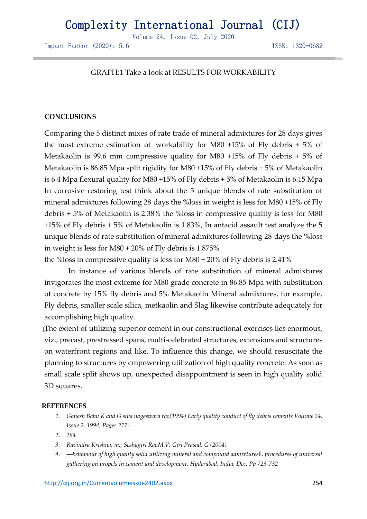Volume 24, Issue 02, July 2020

Impact Factor (2020): 5.6 ISSN: 1320-0682

#### GRAPH:1 Take a look at RESULTS FOR WORKABILITY

#### **CONCLUSIONS**

Comparing the 5 distinct mixes of rate trade of mineral admixtures for 28 days gives the most extreme estimation of workability for M80 +15% of Fly debris + 5% of Metakaolin is 99.6 mm compressive quality for M80 +15% of Fly debris + 5% of Metakaolin is 86.85 Mpa split rigidity for M80 +15% of Fly debris + 5% of Metakaolin is 6.4 Mpa flexural quality for M80 +15% of Fly debris + 5% of Metakaolin is 6.15 Mpa In corrosive restoring test think about the 5 unique blends of rate substitution of mineral admixtures following 28 days the %loss in weight is less for M80 +15% of Fly debris + 5% of Metakaolin is 2.38% the %loss in compressive quality is less for M80 +15% of Fly debris + 5% of Metakaolin is 1.83%, In antacid assault test analyze the 5 unique blends of rate substitution ofmineral admixtures following 28 days the %loss in weight is less for M80 + 20% of Fly debris is 1.875%

the %loss in compressive quality is less for M80 + 20% of Fly debris is 2.41%

In instance of various blends of rate substitution of mineral admixtures invigorates the most extreme for M80 grade concrete in 86.85 Mpa with substitution of concrete by 15% fly debris and 5% Metakaolin Mineral admixtures, for example, Fly debris, smaller scale silica, metkaolin and Slag likewise contribute adequately for accomplishing high quality.

The extent of utilizing superior cement in our constructional exercises lies enormous, viz., precast, prestressed spans, multi-celebrated structures, extensions and structures on waterfront regions and like. To influence this change, we should resuscitate the planning to structures by empowering utilization of high quality concrete. As soon as small scale split shows up, unexpected disappointment is seen in high quality solid 3D squares.

#### **REFERENCES**

- *1. Ganesh Babu K and G siva nageswara rao(1994) Early quality conduct of fly debris cements Volume 24, Issue 2, 1994, Pages 277-*
- *2. 284*
- *3. Ravindra Krishna, m.; Seshagiri RaoM.V; Giri Prasad. G (2004)*
- *4. ―behaviour of high quality solid utilizing mineral and compound admixtures‖, procedures of universal gathering on propels in cement and development, Hyderabad, India, Dec. Pp 723-732*